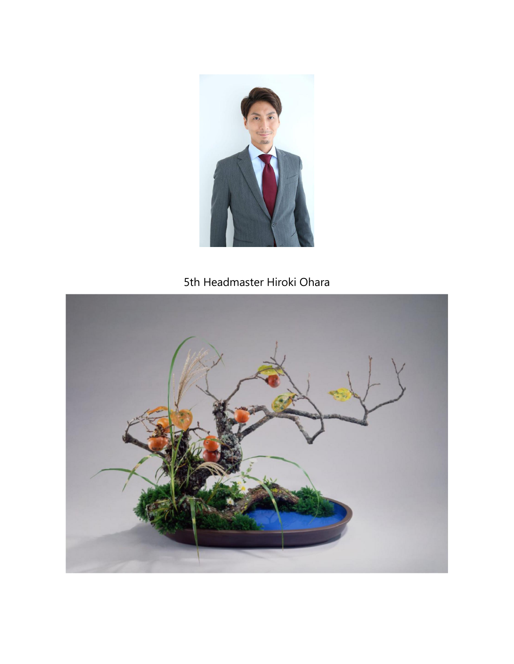

## 5th Headmaster Hiroki Ohara